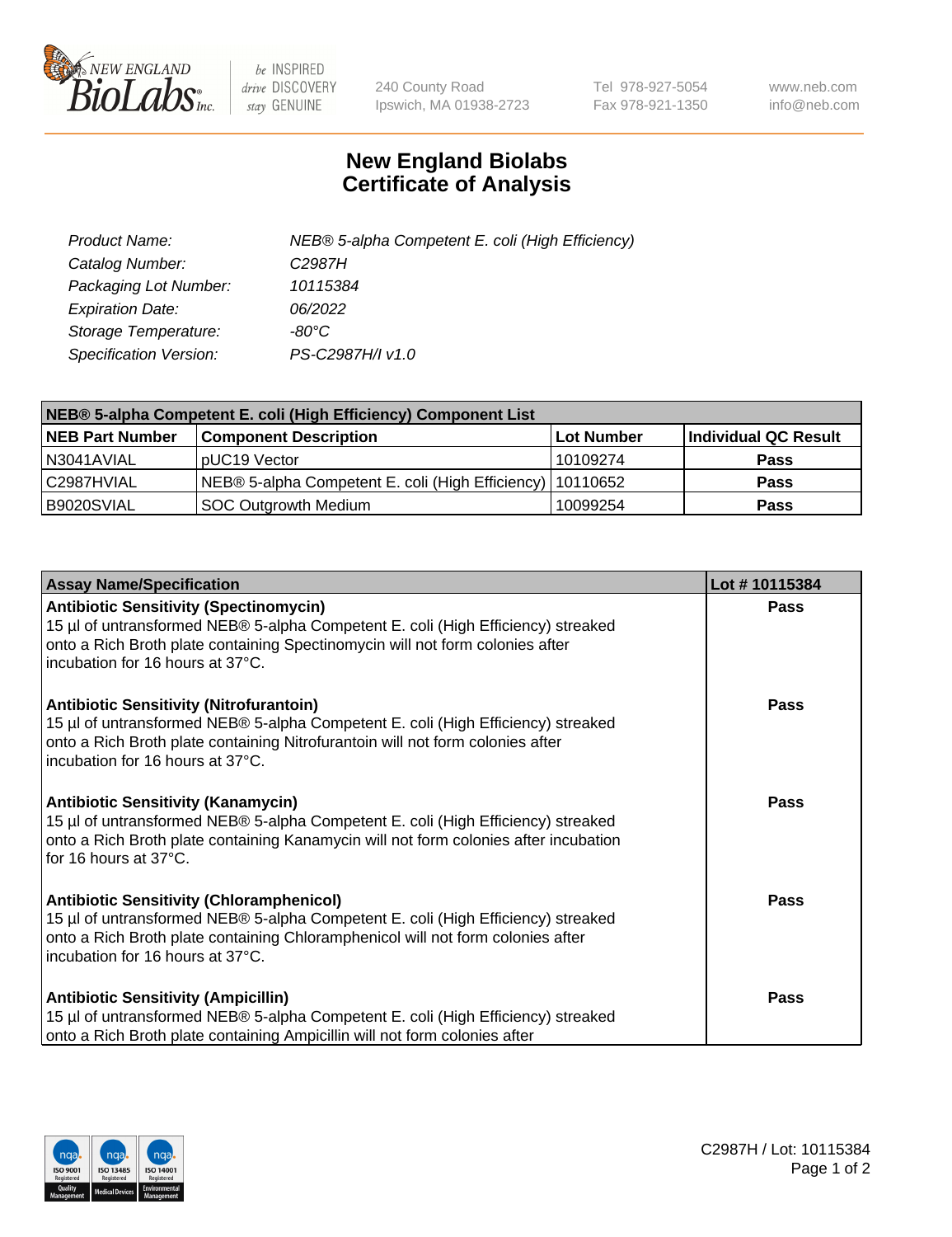

 $be$  INSPIRED drive DISCOVERY stay GENUINE

240 County Road Ipswich, MA 01938-2723 Tel 978-927-5054 Fax 978-921-1350 www.neb.com info@neb.com

## **New England Biolabs Certificate of Analysis**

| Product Name:           | NEB® 5-alpha Competent E. coli (High Efficiency) |
|-------------------------|--------------------------------------------------|
| Catalog Number:         | C <sub>2987</sub> H                              |
| Packaging Lot Number:   | 10115384                                         |
| <b>Expiration Date:</b> | 06/2022                                          |
| Storage Temperature:    | -80°C.                                           |
| Specification Version:  | PS-C2987H/I v1.0                                 |

| NEB® 5-alpha Competent E. coli (High Efficiency) Component List |                                                             |                   |                      |  |
|-----------------------------------------------------------------|-------------------------------------------------------------|-------------------|----------------------|--|
| <b>NEB Part Number</b>                                          | <b>Component Description</b>                                | <b>Lot Number</b> | Individual QC Result |  |
| N3041AVIAL                                                      | pUC19 Vector                                                | 10109274          | <b>Pass</b>          |  |
| C2987HVIAL                                                      | NEB® 5-alpha Competent E. coli (High Efficiency)   10110652 |                   | <b>Pass</b>          |  |
| B9020SVIAL                                                      | SOC Outgrowth Medium                                        | 10099254          | <b>Pass</b>          |  |

| <b>Assay Name/Specification</b>                                                                                                                                                                                                                            | Lot #10115384 |
|------------------------------------------------------------------------------------------------------------------------------------------------------------------------------------------------------------------------------------------------------------|---------------|
| <b>Antibiotic Sensitivity (Spectinomycin)</b><br>15 µl of untransformed NEB® 5-alpha Competent E. coli (High Efficiency) streaked<br>onto a Rich Broth plate containing Spectinomycin will not form colonies after<br>incubation for 16 hours at 37°C.     | Pass          |
| <b>Antibiotic Sensitivity (Nitrofurantoin)</b><br>15 µl of untransformed NEB® 5-alpha Competent E. coli (High Efficiency) streaked<br>onto a Rich Broth plate containing Nitrofurantoin will not form colonies after<br>incubation for 16 hours at 37°C.   | <b>Pass</b>   |
| <b>Antibiotic Sensitivity (Kanamycin)</b><br>15 µl of untransformed NEB® 5-alpha Competent E. coli (High Efficiency) streaked<br>onto a Rich Broth plate containing Kanamycin will not form colonies after incubation<br>for 16 hours at 37°C.             | <b>Pass</b>   |
| <b>Antibiotic Sensitivity (Chloramphenicol)</b><br>15 µl of untransformed NEB® 5-alpha Competent E. coli (High Efficiency) streaked<br>onto a Rich Broth plate containing Chloramphenicol will not form colonies after<br>incubation for 16 hours at 37°C. | Pass          |
| <b>Antibiotic Sensitivity (Ampicillin)</b><br>15 µl of untransformed NEB® 5-alpha Competent E. coli (High Efficiency) streaked<br>onto a Rich Broth plate containing Ampicillin will not form colonies after                                               | Pass          |